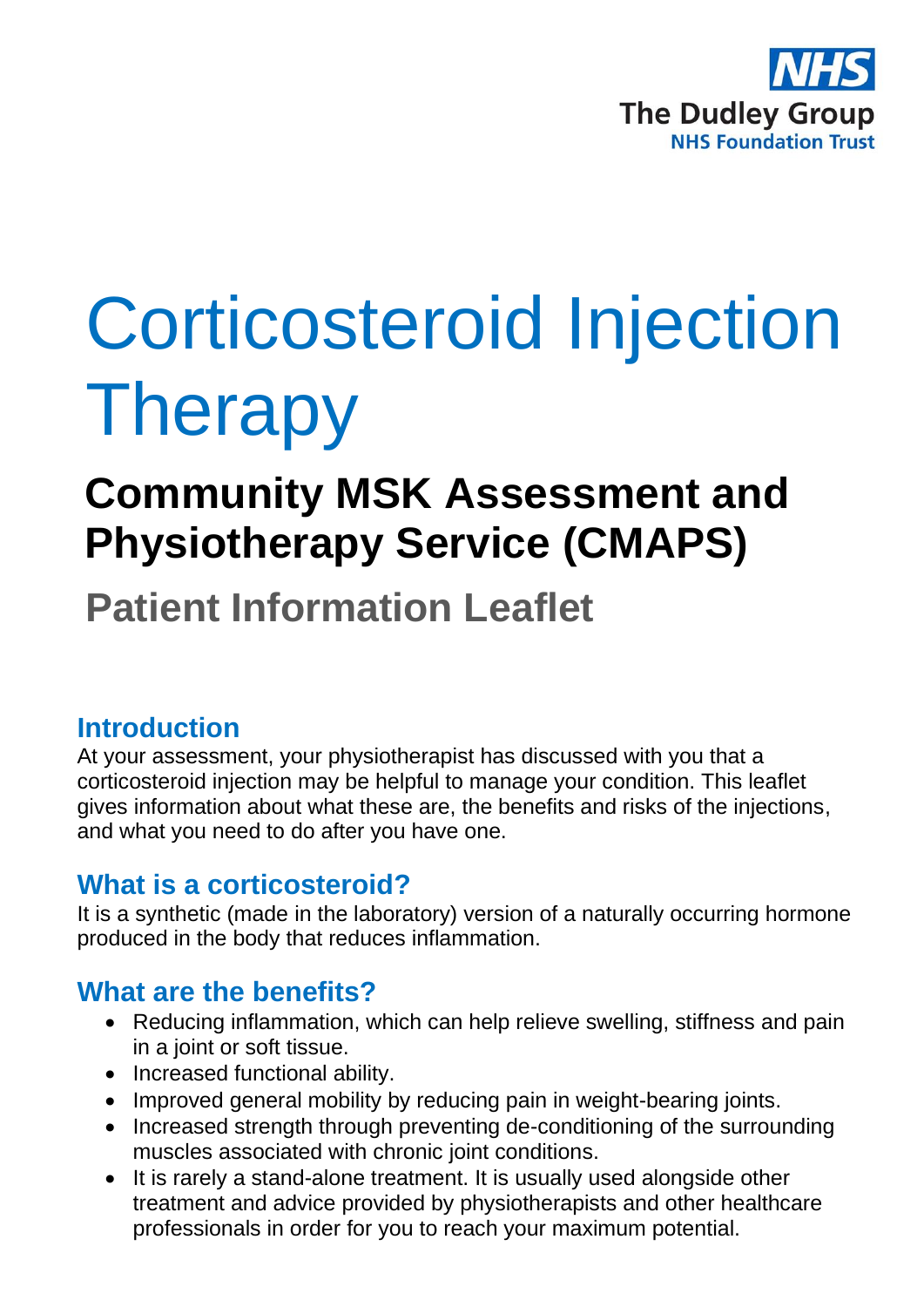

# Corticosteroid Injection Therapy

## **Community MSK Assessment and Physiotherapy Service (CMAPS)**

**Patient Information Leaflet**

## **Introduction**

At your assessment, your physiotherapist has discussed with you that a corticosteroid injection may be helpful to manage your condition. This leaflet gives information about what these are, the benefits and risks of the injections, and what you need to do after you have one.

### **What is a corticosteroid?**

It is a synthetic (made in the laboratory) version of a naturally occurring hormone produced in the body that reduces inflammation.

## **What are the benefits?**

- Reducing inflammation, which can help relieve swelling, stiffness and pain in a joint or soft tissue.
- Increased functional ability.
- Improved general mobility by reducing pain in weight-bearing joints.
- Increased strength through preventing de-conditioning of the surrounding muscles associated with chronic joint conditions.
- It is rarely a stand-alone treatment. It is usually used alongside other treatment and advice provided by physiotherapists and other healthcare professionals in order for you to reach your maximum potential.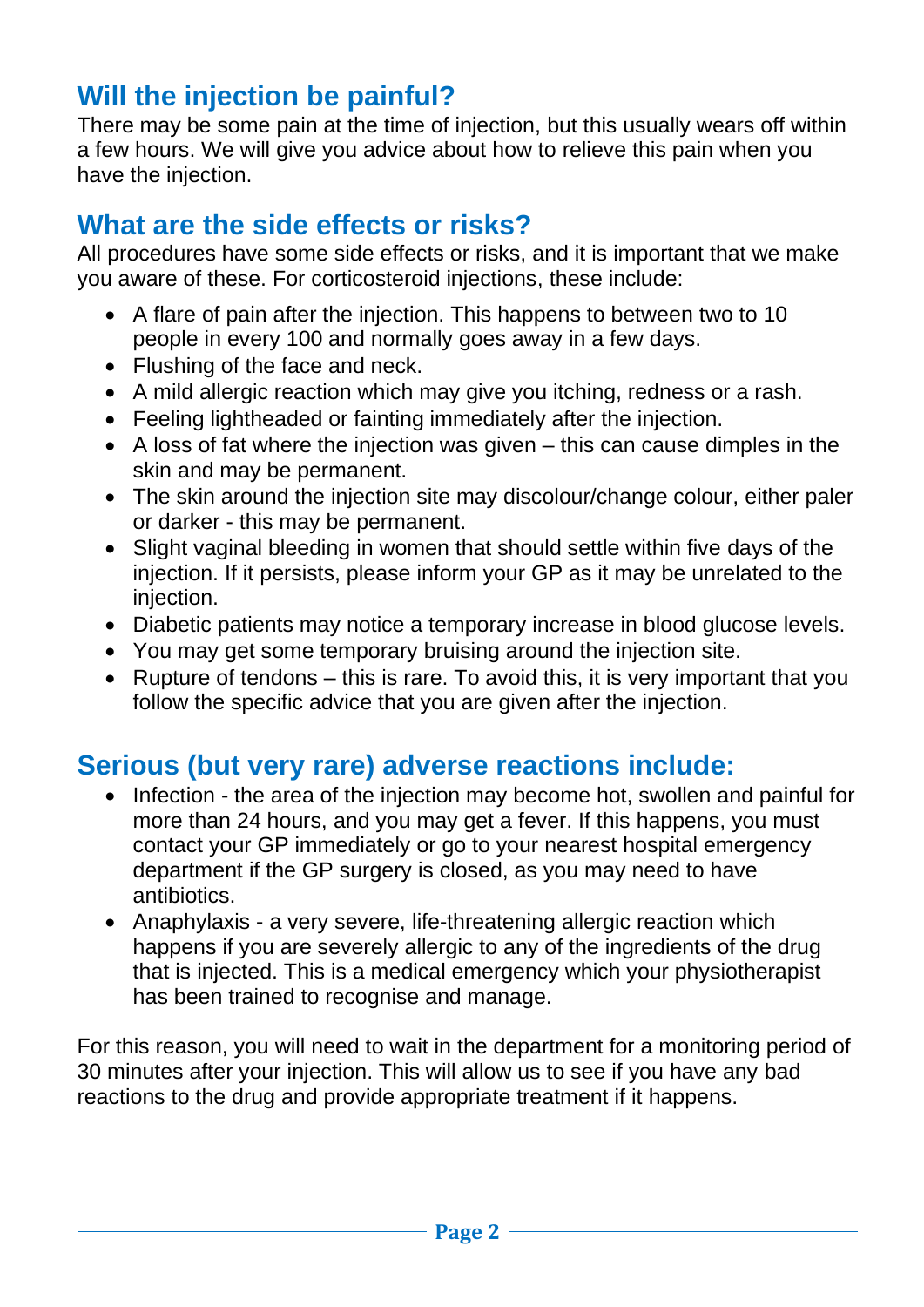## **Will the injection be painful?**

There may be some pain at the time of injection, but this usually wears off within a few hours. We will give you advice about how to relieve this pain when you have the injection.

## **What are the side effects or risks?**

All procedures have some side effects or risks, and it is important that we make you aware of these. For corticosteroid injections, these include:

- A flare of pain after the injection. This happens to between two to 10 people in every 100 and normally goes away in a few days.
- Flushing of the face and neck.
- A mild allergic reaction which may give you itching, redness or a rash.
- Feeling lightheaded or fainting immediately after the injection.
- A loss of fat where the injection was given this can cause dimples in the skin and may be permanent.
- The skin around the injection site may discolour/change colour, either paler or darker - this may be permanent.
- Slight vaginal bleeding in women that should settle within five days of the injection. If it persists, please inform your GP as it may be unrelated to the injection.
- Diabetic patients may notice a temporary increase in blood glucose levels.
- You may get some temporary bruising around the injection site.
- Rupture of tendons this is rare. To avoid this, it is very important that you follow the specific advice that you are given after the injection.

## **Serious (but very rare) adverse reactions include:**

- Infection the area of the injection may become hot, swollen and painful for more than 24 hours, and you may get a fever. If this happens, you must contact your GP immediately or go to your nearest hospital emergency department if the GP surgery is closed, as you may need to have antibiotics.
- Anaphylaxis a very severe, life-threatening allergic reaction which happens if you are severely allergic to any of the ingredients of the drug that is injected. This is a medical emergency which your physiotherapist has been trained to recognise and manage.

For this reason, you will need to wait in the department for a monitoring period of 30 minutes after your injection. This will allow us to see if you have any bad reactions to the drug and provide appropriate treatment if it happens.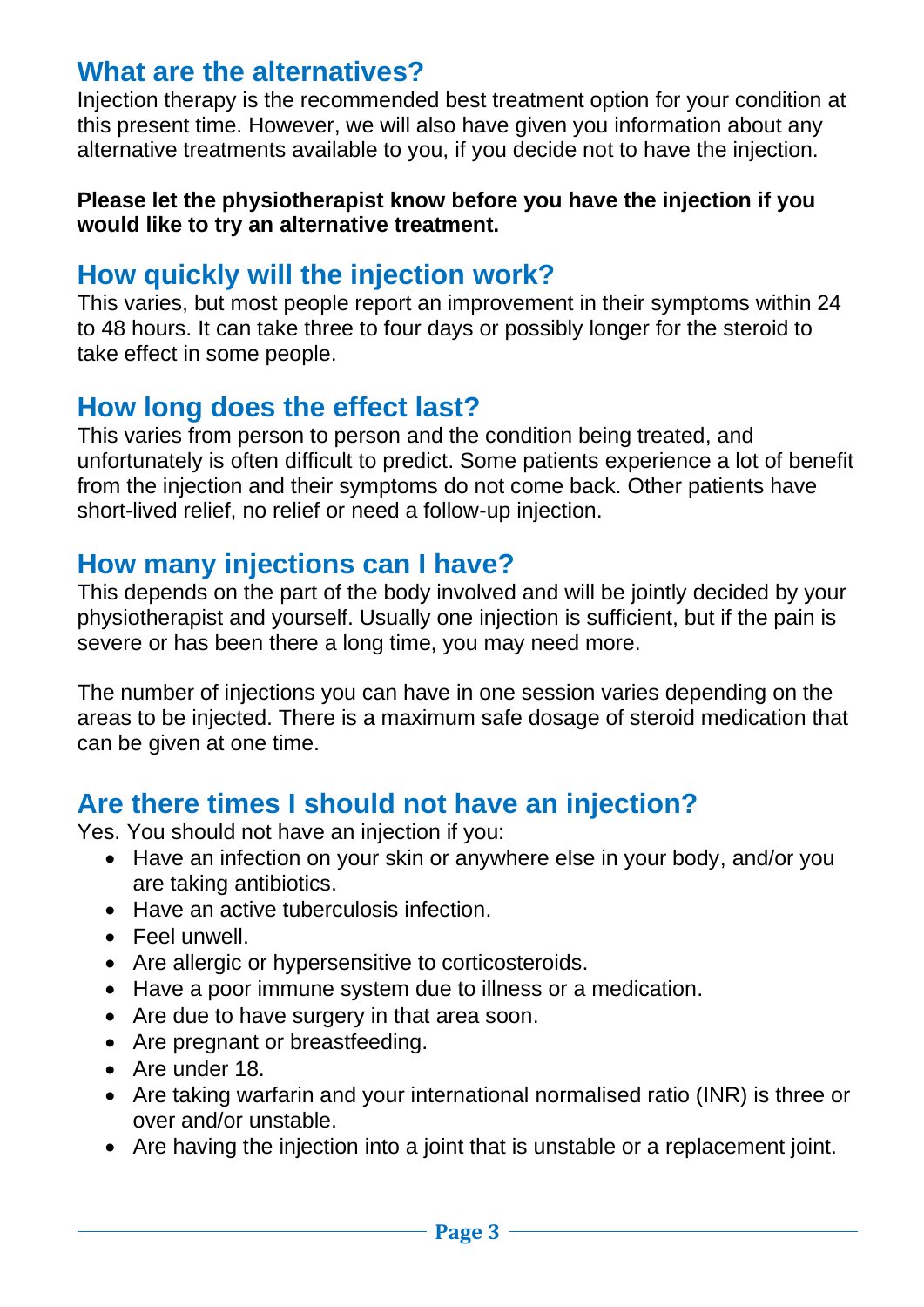## **What are the alternatives?**

Injection therapy is the recommended best treatment option for your condition at this present time. However, we will also have given you information about any alternative treatments available to you, if you decide not to have the injection.

#### **Please let the physiotherapist know before you have the injection if you would like to try an alternative treatment.**

## **How quickly will the injection work?**

This varies, but most people report an improvement in their symptoms within 24 to 48 hours. It can take three to four days or possibly longer for the steroid to take effect in some people.

## **How long does the effect last?**

This varies from person to person and the condition being treated, and unfortunately is often difficult to predict. Some patients experience a lot of benefit from the injection and their symptoms do not come back. Other patients have short-lived relief, no relief or need a follow-up injection.

## **How many injections can I have?**

This depends on the part of the body involved and will be jointly decided by your physiotherapist and yourself. Usually one injection is sufficient, but if the pain is severe or has been there a long time, you may need more.

The number of injections you can have in one session varies depending on the areas to be injected. There is a maximum safe dosage of steroid medication that can be given at one time.

## **Are there times I should not have an injection?**

Yes. You should not have an injection if you:

- Have an infection on your skin or anywhere else in your body, and/or you are taking antibiotics.
- Have an active tuberculosis infection.
- Feel unwell.
- Are allergic or hypersensitive to corticosteroids.
- Have a poor immune system due to illness or a medication.
- Are due to have surgery in that area soon.
- Are pregnant or breastfeeding.
- Are under 18.
- Are taking warfarin and your international normalised ratio (INR) is three or over and/or unstable.
- Are having the injection into a joint that is unstable or a replacement joint.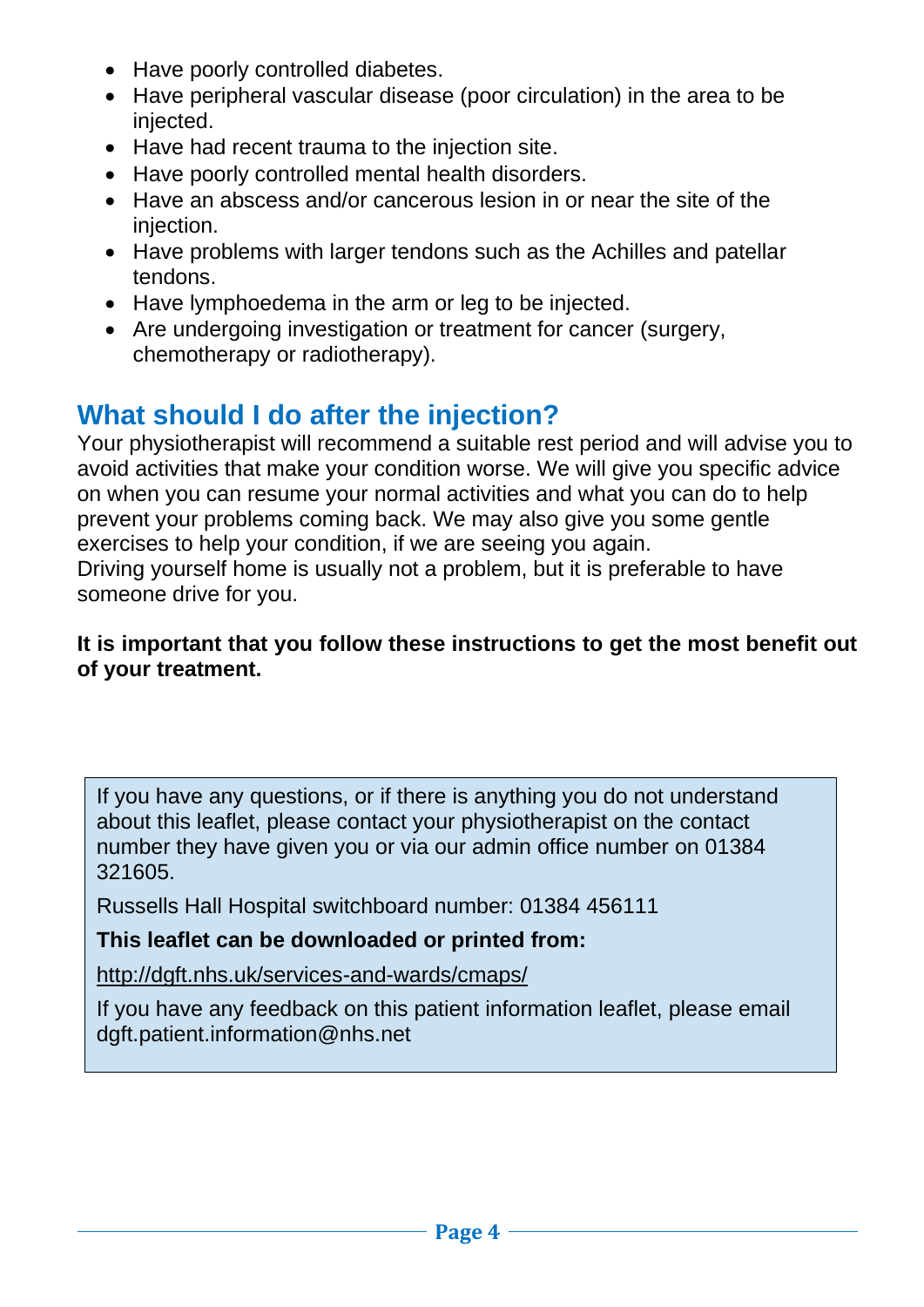- Have poorly controlled diabetes.
- Have peripheral vascular disease (poor circulation) in the area to be injected.
- Have had recent trauma to the injection site.
- Have poorly controlled mental health disorders.
- Have an abscess and/or cancerous lesion in or near the site of the injection.
- Have problems with larger tendons such as the Achilles and patellar tendons.
- Have lymphoedema in the arm or leg to be injected.
- Are undergoing investigation or treatment for cancer (surgery, chemotherapy or radiotherapy).

## **What should I do after the injection?**

Your physiotherapist will recommend a suitable rest period and will advise you to avoid activities that make your condition worse. We will give you specific advice on when you can resume your normal activities and what you can do to help prevent your problems coming back. We may also give you some gentle exercises to help your condition, if we are seeing you again. Driving yourself home is usually not a problem, but it is preferable to have someone drive for you.

#### **It is important that you follow these instructions to get the most benefit out of your treatment.**

If you have any questions, or if there is anything you do not understand about this leaflet, please contact your physiotherapist on the contact number they have given you or via our admin office number on 01384 321605.

Russells Hall Hospital switchboard number: 01384 456111

#### **This leaflet can be downloaded or printed from:**

<http://dgft.nhs.uk/services-and-wards/cmaps/>

If you have any feedback on this patient information leaflet, please email dgft.patient.information@nhs.net